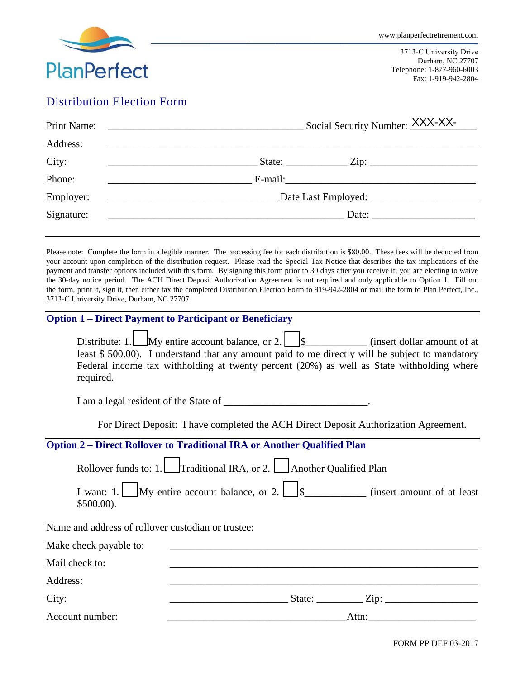

3713-C University Drive Durham, NC 27707 Telephone: 1-877-960-6003 Fax: 1-919-942-2804

# Distribution Election Form

| Print Name: | Social Security Number: XXX-XX-                                                                                                                                                   |
|-------------|-----------------------------------------------------------------------------------------------------------------------------------------------------------------------------------|
| Address:    |                                                                                                                                                                                   |
| City:       | <u> 1990 - Johann Barbara, martin amerikan personal (</u>                                                                                                                         |
| Phone:      |                                                                                                                                                                                   |
| Employer:   | Date Last Employed:                                                                                                                                                               |
| Signature:  | Date: $\frac{1}{\sqrt{1-\frac{1}{2}} \cdot \frac{1}{2}}$<br><u> 1989 - Johann Harry Harry Harry Harry Harry Harry Harry Harry Harry Harry Harry Harry Harry Harry Harry Harry</u> |
|             |                                                                                                                                                                                   |

Please note: Complete the form in a legible manner. The processing fee for each distribution is \$80.00. These fees will be deducted from your account upon completion of the distribution request. Please read the Special Tax Notice that describes the tax implications of the payment and transfer options included with this form. By signing this form prior to 30 days after you receive it, you are electing to waive the 30-day notice period. The ACH Direct Deposit Authorization Agreement is not required and only applicable to Option 1. Fill out the form, print it, sign it, then either fax the completed Distribution Election Form to 919-942-2804 or mail the form to Plan Perfect, Inc., 3713-C University Drive, Durham, NC 27707.

|  |  | <b>Option 1 – Direct Payment to Participant or Beneficiary</b> |
|--|--|----------------------------------------------------------------|
|  |  |                                                                |

|           | Distribute: 1. My entire account balance, or 2. $\parallel$ \$                                   |  |  |  | (insert dollar amount of at |  |
|-----------|--------------------------------------------------------------------------------------------------|--|--|--|-----------------------------|--|
|           | least $$500.00$ ). I understand that any amount paid to me directly will be subject to mandatory |  |  |  |                             |  |
|           | Federal income tax withholding at twenty percent (20%) as well as State withholding where        |  |  |  |                             |  |
| required. |                                                                                                  |  |  |  |                             |  |

I am a legal resident of the State of \_\_\_\_\_\_\_\_\_\_\_\_\_\_\_\_\_\_\_\_\_\_\_\_\_\_\_\_.

For Direct Deposit: I have completed the ACH Direct Deposit Authorization Agreement.

# **Option 2 – Direct Rollover to Traditional IRA or Another Qualified Plan**

|                                                    | Rollover funds to: 1. $\Box$ Traditional IRA, or 2. $\Box$ Another Qualified Plan |                               |
|----------------------------------------------------|-----------------------------------------------------------------------------------|-------------------------------|
| $$500.00$ ).                                       |                                                                                   |                               |
| Name and address of rollover custodian or trustee: |                                                                                   |                               |
| Make check payable to:                             |                                                                                   |                               |
| Mail check to:                                     |                                                                                   |                               |
| Address:                                           |                                                                                   |                               |
| City:                                              |                                                                                   | State: $\angle$ Zip: $\angle$ |
| Account number:                                    |                                                                                   | Attn:                         |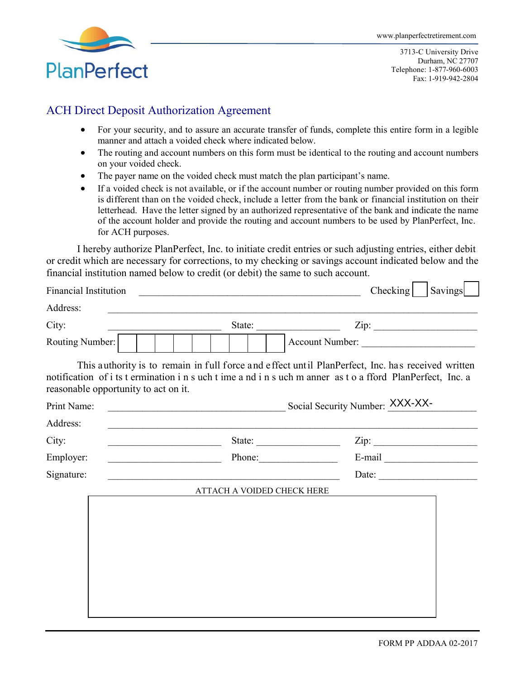

3713-C University Drive Durham, NC 27707 Telephone: 1-877-960-6003 Fax: 1-919-942-2804

# ACH Direct Deposit Authorization Agreement

- For your security, and to assure an accurate transfer of funds, complete this entire form in a legible manner and attach a voided check where indicated below.
- The routing and account numbers on this form must be identical to the routing and account numbers on your voided check.
- The payer name on the voided check must match the plan participant's name.
- If a voided check is not available, or if the account number or routing number provided on this form is different than on the voided check, include a letter from the bank or financial institution on their letterhead. Have the letter signed by an authorized representative of the bank and indicate the name of the account holder and provide the routing and account numbers to be used by PlanPerfect, Inc. for ACH purposes.

I hereby authorize PlanPerfect, Inc. to initiate credit entries or such adjusting entries, either debit or credit which are necessary for corrections, to my checking or savings account indicated below and the financial institution named below to credit (or debit) the same to such account.

| <b>Financial Institution</b> |                                                     | Checking                                                                                                                                                                                                                                                                                                                                                                                                                                                  | <b>Savings</b> |
|------------------------------|-----------------------------------------------------|-----------------------------------------------------------------------------------------------------------------------------------------------------------------------------------------------------------------------------------------------------------------------------------------------------------------------------------------------------------------------------------------------------------------------------------------------------------|----------------|
| Address:                     |                                                     |                                                                                                                                                                                                                                                                                                                                                                                                                                                           |                |
| City:                        |                                                     | Zip:                                                                                                                                                                                                                                                                                                                                                                                                                                                      |                |
| Routing Number:              |                                                     | Account Number:                                                                                                                                                                                                                                                                                                                                                                                                                                           |                |
|                              | reasonable opportunity to act on it.                | This authority is to remain in full force and effect until PlanPerfect, Inc. has received written<br>notification of i ts t ermination i n s uch t ime a nd i n s uch m anner as t o a fford PlanPerfect, Inc. a                                                                                                                                                                                                                                          |                |
| Print Name:                  |                                                     | Social Security Number: XXX-XX-                                                                                                                                                                                                                                                                                                                                                                                                                           |                |
| Address:                     |                                                     |                                                                                                                                                                                                                                                                                                                                                                                                                                                           |                |
| City:                        |                                                     | Zip:<br>State: $\frac{1}{\sqrt{1-\frac{1}{2}} \cdot \frac{1}{2} \cdot \frac{1}{2} \cdot \frac{1}{2} \cdot \frac{1}{2} \cdot \frac{1}{2} \cdot \frac{1}{2} \cdot \frac{1}{2} \cdot \frac{1}{2} \cdot \frac{1}{2} \cdot \frac{1}{2} \cdot \frac{1}{2} \cdot \frac{1}{2} \cdot \frac{1}{2} \cdot \frac{1}{2} \cdot \frac{1}{2} \cdot \frac{1}{2} \cdot \frac{1}{2} \cdot \frac{1}{2} \cdot \frac{1}{2} \cdot \frac{1}{2} \cdot \frac{1}{2} \cdot \frac{1}{2$ |                |
| Employer:                    | <u> 1980 - Johann Barbara, martxa eta politikar</u> | Phone:                                                                                                                                                                                                                                                                                                                                                                                                                                                    |                |
| Signature:                   |                                                     | Date: $\qquad \qquad$                                                                                                                                                                                                                                                                                                                                                                                                                                     |                |
|                              | ATTACH A VOIDED CHECK HERE                          |                                                                                                                                                                                                                                                                                                                                                                                                                                                           |                |
|                              |                                                     |                                                                                                                                                                                                                                                                                                                                                                                                                                                           |                |
|                              |                                                     |                                                                                                                                                                                                                                                                                                                                                                                                                                                           |                |
|                              |                                                     |                                                                                                                                                                                                                                                                                                                                                                                                                                                           |                |
|                              |                                                     |                                                                                                                                                                                                                                                                                                                                                                                                                                                           |                |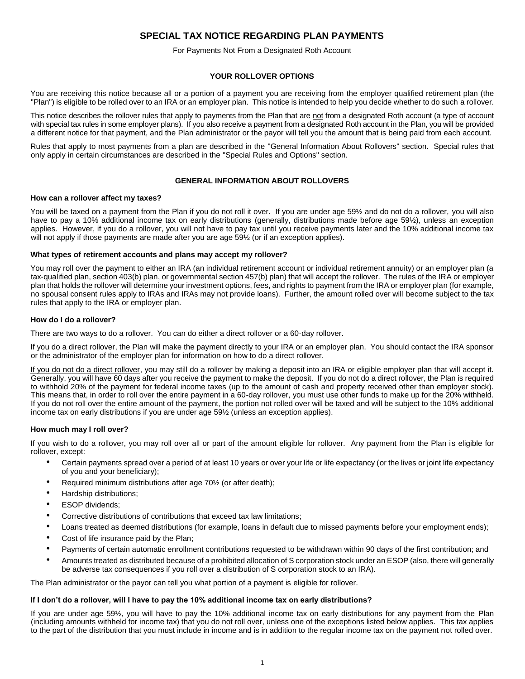# **SPECIAL TAX NOTICE REGARDING PLAN PAYMENTS**

# For Payments Not From a Designated Roth Account

# **YOUR ROLLOVER OPTIONS**

You are receiving this notice because all or a portion of a payment you are receiving from the employer qualified retirement plan (the "Plan") is eligible to be rolled over to an IRA or an employer plan. This notice is intended to help you decide whether to do such a rollover.

This notice describes the rollover rules that apply to payments from the Plan that are not from a designated Roth account (a type of account with special tax rules in some employer plans). If you also receive a payment from a designated Roth account in the Plan, you will be provided a different notice for that payment, and the Plan administrator or the payor will tell you the amount that is being paid from each account.

Rules that apply to most payments from a plan are described in the "General Information About Rollovers" section. Special rules that only apply in certain circumstances are described in the "Special Rules and Options" section.

# **GENERAL INFORMATION ABOUT ROLLOVERS**

#### **How can a rollover affect my taxes?**

You will be taxed on a payment from the Plan if you do not roll it over. If you are under age 59½ and do not do a rollover, you will also have to pay a 10% additional income tax on early distributions (generally, distributions made before age 59½), unless an exception applies. However, if you do a rollover, you will not have to pay tax until you receive payments later and the 10% additional income tax will not apply if those payments are made after you are age 59<sup>1/2</sup> (or if an exception applies).

#### **What types of retirement accounts and plans may accept my rollover?**

You may roll over the payment to either an IRA (an individual retirement account or individual retirement annuity) or an employer plan (a tax-qualified plan, section 403(b) plan, or governmental section 457(b) plan) that will accept the rollover. The rules of the IRA or employer plan that holds the rollover will determine your investment options, fees, and rights to payment from the IRA or employer plan (for example, no spousal consent rules apply to IRAs and IRAs may not provide loans). Further, the amount rolled over will become subject to the tax rules that apply to the IRA or employer plan.

# **How do I do a rollover?**

There are two ways to do a rollover. You can do either a direct rollover or a 60-day rollover.

If you do a direct rollover, the Plan will make the payment directly to your IRA or an employer plan. You should contact the IRA sponsor or the administrator of the employer plan for information on how to do a direct rollover.

If you do not do a direct rollover, you may still do a rollover by making a deposit into an IRA or eligible employer plan that will accept it. Generally, you will have 60 days after you receive the payment to make the deposit. If you do not do a direct rollover, the Plan is required to withhold 20% of the payment for federal income taxes (up to the amount of cash and property received other than employer stock). This means that, in order to roll over the entire payment in a 60-day rollover, you must use other funds to make up for the 20% withheld. If you do not roll over the entire amount of the payment, the portion not rolled over will be taxed and will be subject to the 10% additional income tax on early distributions if you are under age 59½ (unless an exception applies).

# **How much may I roll over?**

If you wish to do a rollover, you may roll over all or part of the amount eligible for rollover. Any payment from the Plan is eligible for rollover, except:

- Certain payments spread over a period of at least 10 years or over your life or life expectancy (or the lives or joint life expectancy of you and your beneficiary);
- Required minimum distributions after age 70<sup>1</sup>/<sub>2</sub> (or after death);
- Hardship distributions;
- **ESOP** dividends;
- Corrective distributions of contributions that exceed tax law limitations;
- Loans treated as deemed distributions (for example, loans in default due to missed payments before your employment ends);
- Cost of life insurance paid by the Plan;
- Payments of certain automatic enrollment contributions requested to be withdrawn within 90 days of the first contribution; and
- Amounts treated as distributed because of a prohibited allocation of S corporation stock under an ESOP (also, there will generally be adverse tax consequences if you roll over a distribution of S corporation stock to an IRA).

The Plan administrator or the payor can tell you what portion of a payment is eligible for rollover.

# **If I don't do a rollover, will I have to pay the 10% additional income tax on early distributions?**

If you are under age 59½, you will have to pay the 10% additional income tax on early distributions for any payment from the Plan (including amounts withheld for income tax) that you do not roll over, unless one of the exceptions listed below applies. This tax applies to the part of the distribution that you must include in income and is in addition to the regular income tax on the payment not rolled over.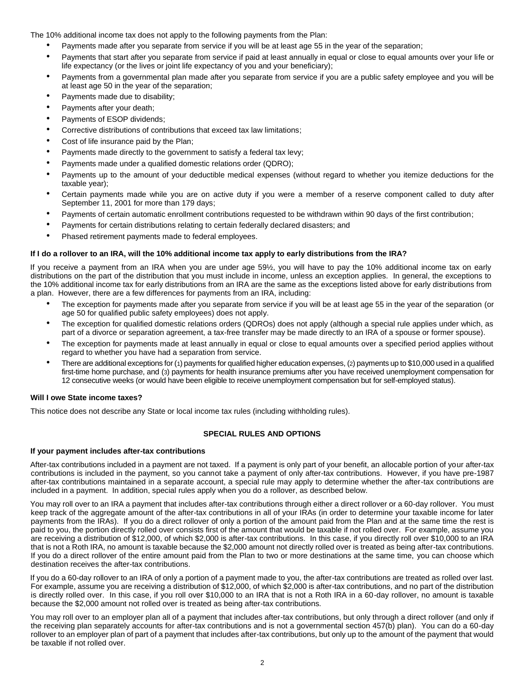The 10% additional income tax does not apply to the following payments from the Plan:

- Payments made after you separate from service if you will be at least age 55 in the year of the separation;
- Payments that start after you separate from service if paid at least annually in equal or close to equal amounts over your life or life expectancy (or the lives or joint life expectancy of you and your beneficiary);
- Payments from a governmental plan made after you separate from service if you are a public safety employee and you will be at least age 50 in the year of the separation;
- Payments made due to disability;
- Payments after your death;
- Payments of ESOP dividends;
- Corrective distributions of contributions that exceed tax law limitations;
- Cost of life insurance paid by the Plan;
- Payments made directly to the government to satisfy a federal tax levy;
- Payments made under a qualified domestic relations order (QDRO);
- Payments up to the amount of your deductible medical expenses (without regard to whether you itemize deductions for the taxable year);
- Certain payments made while you are on active duty if you were a member of a reserve component called to duty after September 11, 2001 for more than 179 days;
- Payments of certain automatic enrollment contributions requested to be withdrawn within 90 days of the first contribution;
- Payments for certain distributions relating to certain federally declared disasters; and
- Phased retirement payments made to federal employees.

# **If I do a rollover to an IRA, will the 10% additional income tax apply to early distributions from the IRA?**

If you receive a payment from an IRA when you are under age 59½, you will have to pay the 10% additional income tax on early distributions on the part of the distribution that you must include in income, unless an exception applies. In general, the exceptions to the 10% additional income tax for early distributions from an IRA are the same as the exceptions listed above for early distributions from a plan. However, there are a few differences for payments from an IRA, including:

- The exception for payments made after you separate from service if you will be at least age 55 in the year of the separation (or age 50 for qualified public safety employees) does not apply.
- The exception for qualified domestic relations orders (QDROs) does not apply (although a special rule applies under which, as part of a divorce or separation agreement, a tax-free transfer may be made directly to an IRA of a spouse or former spouse).
- The exception for payments made at least annually in equal or close to equal amounts over a specified period applies without regard to whether you have had a separation from service.
- There are additional exceptions for (1) payments for qualified higher education expenses, (2) payments up to \$10,000 used in a qualified first-time home purchase, and (3) payments for health insurance premiums after you have received unemployment compensation for 12 consecutive weeks (or would have been eligible to receive unemployment compensation but for self-employed status).

#### **Will I owe State income taxes?**

This notice does not describe any State or local income tax rules (including withholding rules).

# **SPECIAL RULES AND OPTIONS**

# **If your payment includes after-tax contributions**

After-tax contributions included in a payment are not taxed. If a payment is only part of your benefit, an allocable portion of your after-tax contributions is included in the payment, so you cannot take a payment of only after-tax contributions. However, if you have pre-1987 after-tax contributions maintained in a separate account, a special rule may apply to determine whether the after-tax contributions are included in a payment. In addition, special rules apply when you do a rollover, as described below.

You may roll over to an IRA a payment that includes after-tax contributions through either a direct rollover or a 60-day rollover. You must keep track of the aggregate amount of the after-tax contributions in all of your IRAs (in order to determine your taxable income for later payments from the IRAs). If you do a direct rollover of only a portion of the amount paid from the Plan and at the same time the rest is paid to you, the portion directly rolled over consists first of the amount that would be taxable if not rolled over. For example, assume you are receiving a distribution of \$12,000, of which \$2,000 is after-tax contributions. In this case, if you directly roll over \$10,000 to an IRA that is not a Roth IRA, no amount is taxable because the \$2,000 amount not directly rolled over is treated as being after-tax contributions. If you do a direct rollover of the entire amount paid from the Plan to two or more destinations at the same time, you can choose which destination receives the after-tax contributions.

If you do a 60-day rollover to an IRA of only a portion of a payment made to you, the after-tax contributions are treated as rolled over last. For example, assume you are receiving a distribution of \$12,000, of which \$2,000 is after-tax contributions, and no part of the distribution is directly rolled over. In this case, if you roll over \$10,000 to an IRA that is not a Roth IRA in a 60-day rollover, no amount is taxable because the \$2,000 amount not rolled over is treated as being after-tax contributions.

You may roll over to an employer plan all of a payment that includes after-tax contributions, but only through a direct rollover (and only if the receiving plan separately accounts for after-tax contributions and is not a governmental section 457(b) plan). You can do a 60-day rollover to an employer plan of part of a payment that includes after-tax contributions, but only up to the amount of the payment that would be taxable if not rolled over.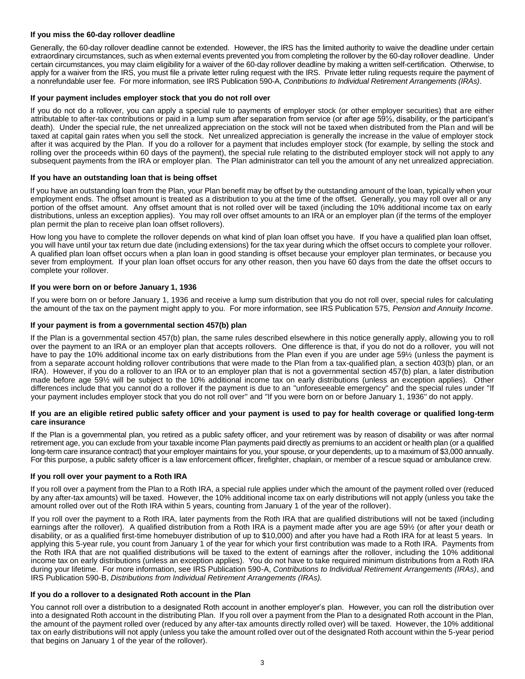# **If you miss the 60-day rollover deadline**

Generally, the 60-day rollover deadline cannot be extended. However, the IRS has the limited authority to waive the deadline under certain extraordinary circumstances, such as when external events prevented you from completing the rollover by the 60-day rollover deadline. Under certain circumstances, you may claim eligibility for a waiver of the 60-day rollover deadline by making a written self-certification. Otherwise, to apply for a waiver from the IRS, you must file a private letter ruling request with the IRS. Private letter ruling requests require the payment of a nonrefundable user fee. For more information, see IRS Publication 590-A, *Contributions to Individual Retirement Arrangements (IRAs)*.

#### **If your payment includes employer stock that you do not roll over**

If you do not do a rollover, you can apply a special rule to payments of employer stock (or other employer securities) that are either attributable to after-tax contributions or paid in a lump sum after separation from service (or after age 59½, disability, or the participant's death). Under the special rule, the net unrealized appreciation on the stock will not be taxed when distributed from the Plan and will be taxed at capital gain rates when you sell the stock. Net unrealized appreciation is generally the increase in the value of employer stock after it was acquired by the Plan. If you do a rollover for a payment that includes employer stock (for example, by selling the stock and rolling over the proceeds within 60 days of the payment), the special rule relating to the distributed employer stock will not apply to any subsequent payments from the IRA or employer plan. The Plan administrator can tell you the amount of any net unrealized appreciation.

#### **If you have an outstanding loan that is being offset**

If you have an outstanding loan from the Plan, your Plan benefit may be offset by the outstanding amount of the loan, typically when your employment ends. The offset amount is treated as a distribution to you at the time of the offset. Generally, you may roll over all or any portion of the offset amount. Any offset amount that is not rolled over will be taxed (including the 10% additional income tax on early distributions, unless an exception applies). You may roll over offset amounts to an IRA or an employer plan (if the terms of the employer plan permit the plan to receive plan loan offset rollovers).

How long you have to complete the rollover depends on what kind of plan loan offset you have. If you have a qualified plan loan offset, you will have until your tax return due date (including extensions) for the tax year during which the offset occurs to complete your rollover. A qualified plan loan offset occurs when a plan loan in good standing is offset because your employer plan terminates, or because you sever from employment. If your plan loan offset occurs for any other reason, then you have 60 days from the date the offset occurs to complete your rollover.

#### **If you were born on or before January 1, 1936**

If you were born on or before January 1, 1936 and receive a lump sum distribution that you do not roll over, special rules for calculating the amount of the tax on the payment might apply to you. For more information, see IRS Publication 575, *Pension and Annuity Income*.

#### **If your payment is from a governmental section 457(b) plan**

If the Plan is a governmental section 457(b) plan, the same rules described elsewhere in this notice generally apply, allowing you to roll over the payment to an IRA or an employer plan that accepts rollovers. One difference is that, if you do not do a rollover, you will not have to pay the 10% additional income tax on early distributions from the Plan even if you are under age 59% (unless the payment is from a separate account holding rollover contributions that were made to the Plan from a tax-qualified plan, a section 403(b) plan, or an IRA). However, if you do a rollover to an IRA or to an employer plan that is not a governmental section 457(b) plan, a later distribution made before age 59½ will be subject to the 10% additional income tax on early distributions (unless an exception applies). Other differences include that you cannot do a rollover if the payment is due to an "unforeseeable emergency" and the special rules under "If your payment includes employer stock that you do not roll over" and "If you were born on or before January 1, 1936" do not apply.

#### **If you are an eligible retired public safety officer and your payment is used to pay for health coverage or qualified long-term care insurance**

If the Plan is a governmental plan, you retired as a public safety officer, and your retirement was by reason of disability or was after normal retirement age, you can exclude from your taxable income Plan payments paid directly as premiums to an accident or health plan (or a qualified long-term care insurance contract) that your employer maintains for you, your spouse, or your dependents, up to a maximum of \$3,000 annually. For this purpose, a public safety officer is a law enforcement officer, firefighter, chaplain, or member of a rescue squad or ambulance crew.

# **If you roll over your payment to a Roth IRA**

If you roll over a payment from the Plan to a Roth IRA, a special rule applies under which the amount of the payment rolled over (reduced by any after-tax amounts) will be taxed. However, the 10% additional income tax on early distributions will not apply (unless you take the amount rolled over out of the Roth IRA within 5 years, counting from January 1 of the year of the rollover).

If you roll over the payment to a Roth IRA, later payments from the Roth IRA that are qualified distributions will not be taxed (including earnings after the rollover). A qualified distribution from a Roth IRA is a payment made after you are age 59½ (or after your death or disability, or as a qualified first-time homebuyer distribution of up to \$10,000) and after you have had a Roth IRA for at least 5 years. In applying this 5-year rule, you count from January 1 of the year for which your first contribution was made to a Roth IRA. Payments from the Roth IRA that are not qualified distributions will be taxed to the extent of earnings after the rollover, including the 10% additional income tax on early distributions (unless an exception applies). You do not have to take required minimum distributions from a Roth IRA during your lifetime. For more information, see IRS Publication 590-A, *Contributions to Individual Retirement Arrangements (IRAs)*, and IRS Publication 590-B, *Distributions from Individual Retirement Arrangements (IRAs).*

#### **If you do a rollover to a designated Roth account in the Plan**

You cannot roll over a distribution to a designated Roth account in another employer's plan. However, you can roll the distribution over into a designated Roth account in the distributing Plan. If you roll over a payment from the Plan to a designated Roth account in the Plan, the amount of the payment rolled over (reduced by any after-tax amounts directly rolled over) will be taxed. However, the 10% additional tax on early distributions will not apply (unless you take the amount rolled over out of the designated Roth account within the 5-year period that begins on January 1 of the year of the rollover).